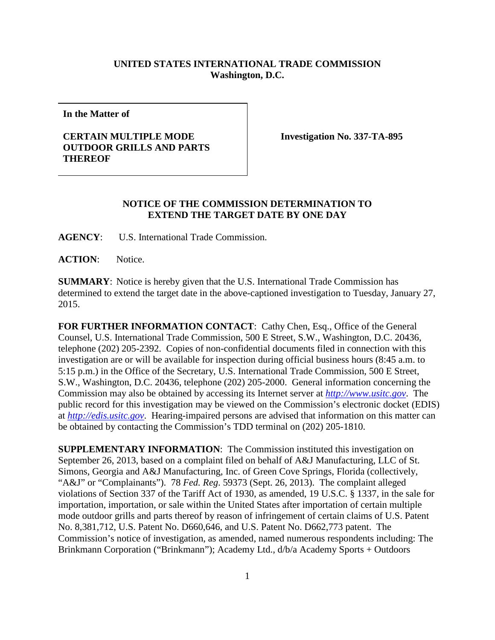## **UNITED STATES INTERNATIONAL TRADE COMMISSION Washington, D.C.**

**In the Matter of**

## **CERTAIN MULTIPLE MODE OUTDOOR GRILLS AND PARTS THEREOF**

**Investigation No. 337-TA-895**

## **NOTICE OF THE COMMISSION DETERMINATION TO EXTEND THE TARGET DATE BY ONE DAY**

**AGENCY**: U.S. International Trade Commission.

**ACTION**: Notice.

**SUMMARY**: Notice is hereby given that the U.S. International Trade Commission has determined to extend the target date in the above-captioned investigation to Tuesday, January 27, 2015.

FOR FURTHER INFORMATION CONTACT: Cathy Chen, Esq., Office of the General Counsel, U.S. International Trade Commission, 500 E Street, S.W., Washington, D.C. 20436, telephone (202) 205-2392. Copies of non-confidential documents filed in connection with this investigation are or will be available for inspection during official business hours (8:45 a.m. to 5:15 p.m.) in the Office of the Secretary, U.S. International Trade Commission, 500 E Street, S.W., Washington, D.C. 20436, telephone (202) 205-2000. General information concerning the Commission may also be obtained by accessing its Internet server at *[http://www.usitc.gov](http://www.usitc.gov/)*. The public record for this investigation may be viewed on the Commission's electronic docket (EDIS) at *[http://edis.usitc.gov](http://edis.usitc.gov/)*. Hearing-impaired persons are advised that information on this matter can be obtained by contacting the Commission's TDD terminal on (202) 205-1810.

**SUPPLEMENTARY INFORMATION**: The Commission instituted this investigation on September 26, 2013, based on a complaint filed on behalf of A&J Manufacturing, LLC of St. Simons, Georgia and A&J Manufacturing, Inc. of Green Cove Springs, Florida (collectively, "A&J" or "Complainants"). 78 *Fed. Reg*. 59373 (Sept. 26, 2013). The complaint alleged violations of Section 337 of the Tariff Act of 1930, as amended, 19 U.S.C. § 1337, in the sale for importation, importation, or sale within the United States after importation of certain multiple mode outdoor grills and parts thereof by reason of infringement of certain claims of U.S. Patent No. 8,381,712, U.S. Patent No. D660,646, and U.S. Patent No. D662,773 patent. The Commission's notice of investigation, as amended, named numerous respondents including: The Brinkmann Corporation ("Brinkmann"); Academy Ltd., d/b/a Academy Sports + Outdoors